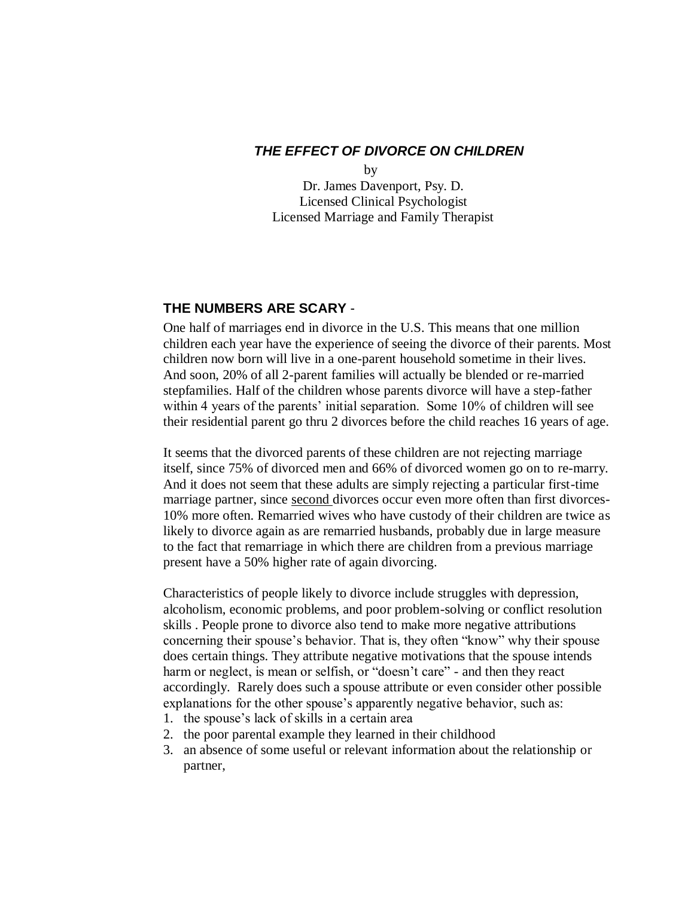## *THE EFFECT OF DIVORCE ON CHILDREN*

 by Dr. James Davenport, Psy. D. Licensed Clinical Psychologist Licensed Marriage and Family Therapist

## **THE NUMBERS ARE SCARY** -

One half of marriages end in divorce in the U.S. This means that one million children each year have the experience of seeing the divorce of their parents. Most children now born will live in a one-parent household sometime in their lives. And soon, 20% of all 2-parent families will actually be blended or re-married stepfamilies. Half of the children whose parents divorce will have a step-father within 4 years of the parents' initial separation. Some 10% of children will see their residential parent go thru 2 divorces before the child reaches 16 years of age.

It seems that the divorced parents of these children are not rejecting marriage itself, since 75% of divorced men and 66% of divorced women go on to re-marry. And it does not seem that these adults are simply rejecting a particular first-time marriage partner, since second divorces occur even more often than first divorces-10% more often. Remarried wives who have custody of their children are twice as likely to divorce again as are remarried husbands, probably due in large measure to the fact that remarriage in which there are children from a previous marriage present have a 50% higher rate of again divorcing.

Characteristics of people likely to divorce include struggles with depression, alcoholism, economic problems, and poor problem-solving or conflict resolution skills . People prone to divorce also tend to make more negative attributions concerning their spouse's behavior. That is, they often "know" why their spouse does certain things. They attribute negative motivations that the spouse intends harm or neglect, is mean or selfish, or "doesn't care" - and then they react accordingly. Rarely does such a spouse attribute or even consider other possible explanations for the other spouse's apparently negative behavior, such as:

- 1. the spouse's lack of skills in a certain area
- 2. the poor parental example they learned in their childhood
- 3. an absence of some useful or relevant information about the relationship or partner,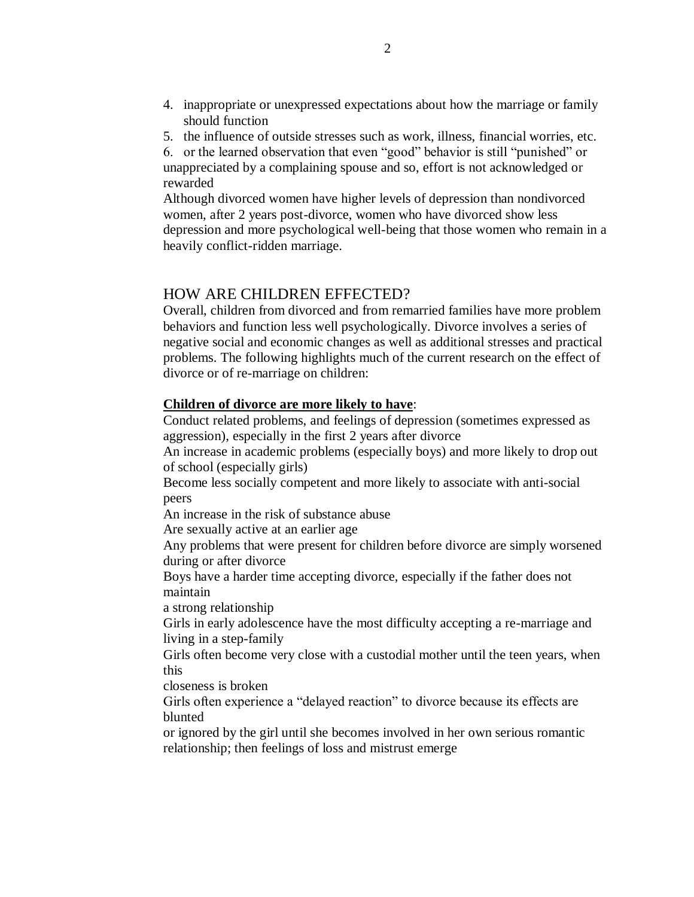- 4. inappropriate or unexpressed expectations about how the marriage or family should function
- 5. the influence of outside stresses such as work, illness, financial worries, etc.

6. or the learned observation that even "good" behavior is still "punished" or unappreciated by a complaining spouse and so, effort is not acknowledged or rewarded

Although divorced women have higher levels of depression than nondivorced women, after 2 years post-divorce, women who have divorced show less depression and more psychological well-being that those women who remain in a heavily conflict-ridden marriage.

# HOW ARE CHILDREN EFFECTED?

Overall, children from divorced and from remarried families have more problem behaviors and function less well psychologically. Divorce involves a series of negative social and economic changes as well as additional stresses and practical problems. The following highlights much of the current research on the effect of divorce or of re-marriage on children:

#### **Children of divorce are more likely to have**:

Conduct related problems, and feelings of depression (sometimes expressed as aggression), especially in the first 2 years after divorce

An increase in academic problems (especially boys) and more likely to drop out of school (especially girls)

Become less socially competent and more likely to associate with anti-social peers

An increase in the risk of substance abuse

Are sexually active at an earlier age

Any problems that were present for children before divorce are simply worsened during or after divorce

Boys have a harder time accepting divorce, especially if the father does not maintain

a strong relationship

Girls in early adolescence have the most difficulty accepting a re-marriage and living in a step-family

Girls often become very close with a custodial mother until the teen years, when this

closeness is broken

Girls often experience a "delayed reaction" to divorce because its effects are blunted

or ignored by the girl until she becomes involved in her own serious romantic relationship; then feelings of loss and mistrust emerge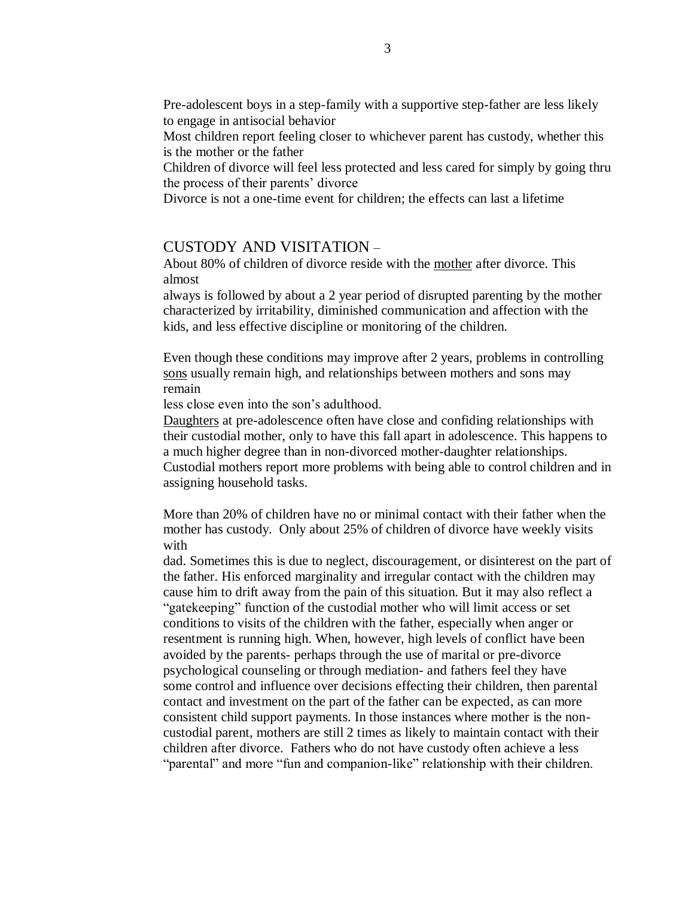Pre-adolescent boys in a step-family with a supportive step-father are less likely to engage in antisocial behavior

Most children report feeling closer to whichever parent has custody, whether this is the mother or the father

Children of divorce will feel less protected and less cared for simply by going thru the process of their parents' divorce

Divorce is not a one-time event for children; the effects can last a lifetime

#### CUSTODY AND VISITATION –

About 80% of children of divorce reside with the mother after divorce. This almost

always is followed by about a 2 year period of disrupted parenting by the mother characterized by irritability, diminished communication and affection with the kids, and less effective discipline or monitoring of the children.

Even though these conditions may improve after 2 years, problems in controlling sons usually remain high, and relationships between mothers and sons may remain

less close even into the son's adulthood.

Daughters at pre-adolescence often have close and confiding relationships with their custodial mother, only to have this fall apart in adolescence. This happens to a much higher degree than in non-divorced mother-daughter relationships. Custodial mothers report more problems with being able to control children and in assigning household tasks.

More than 20% of children have no or minimal contact with their father when the mother has custody. Only about 25% of children of divorce have weekly visits with

dad. Sometimes this is due to neglect, discouragement, or disinterest on the part of the father. His enforced marginality and irregular contact with the children may cause him to drift away from the pain of this situation. But it may also reflect a "gatekeeping" function of the custodial mother who will limit access or set conditions to visits of the children with the father, especially when anger or resentment is running high. When, however, high levels of conflict have been avoided by the parents- perhaps through the use of marital or pre-divorce psychological counseling or through mediation- and fathers feel they have some control and influence over decisions effecting their children, then parental contact and investment on the part of the father can be expected, as can more consistent child support payments. In those instances where mother is the noncustodial parent, mothers are still 2 times as likely to maintain contact with their children after divorce. Fathers who do not have custody often achieve a less "parental" and more "fun and companion-like" relationship with their children.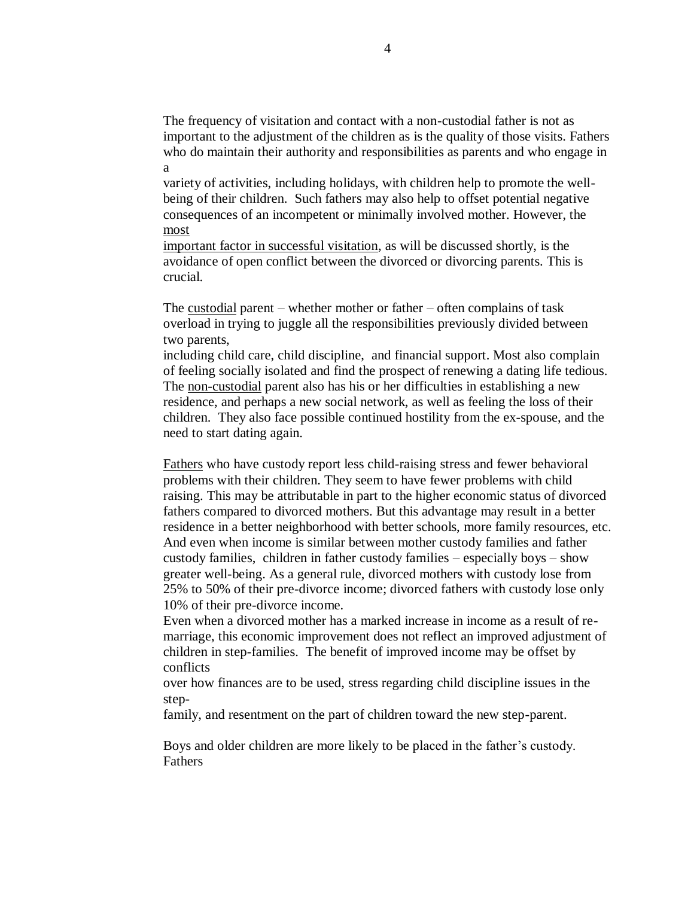The frequency of visitation and contact with a non-custodial father is not as important to the adjustment of the children as is the quality of those visits. Fathers who do maintain their authority and responsibilities as parents and who engage in a

variety of activities, including holidays, with children help to promote the wellbeing of their children. Such fathers may also help to offset potential negative consequences of an incompetent or minimally involved mother. However, the most

important factor in successful visitation, as will be discussed shortly, is the avoidance of open conflict between the divorced or divorcing parents. This is crucial.

The custodial parent – whether mother or father – often complains of task overload in trying to juggle all the responsibilities previously divided between two parents,

including child care, child discipline, and financial support. Most also complain of feeling socially isolated and find the prospect of renewing a dating life tedious. The non-custodial parent also has his or her difficulties in establishing a new residence, and perhaps a new social network, as well as feeling the loss of their children. They also face possible continued hostility from the ex-spouse, and the need to start dating again.

Fathers who have custody report less child-raising stress and fewer behavioral problems with their children. They seem to have fewer problems with child raising. This may be attributable in part to the higher economic status of divorced fathers compared to divorced mothers. But this advantage may result in a better residence in a better neighborhood with better schools, more family resources, etc. And even when income is similar between mother custody families and father custody families, children in father custody families – especially boys – show greater well-being. As a general rule, divorced mothers with custody lose from 25% to 50% of their pre-divorce income; divorced fathers with custody lose only 10% of their pre-divorce income.

Even when a divorced mother has a marked increase in income as a result of remarriage, this economic improvement does not reflect an improved adjustment of children in step-families. The benefit of improved income may be offset by conflicts

over how finances are to be used, stress regarding child discipline issues in the step-

family, and resentment on the part of children toward the new step-parent.

Boys and older children are more likely to be placed in the father's custody. Fathers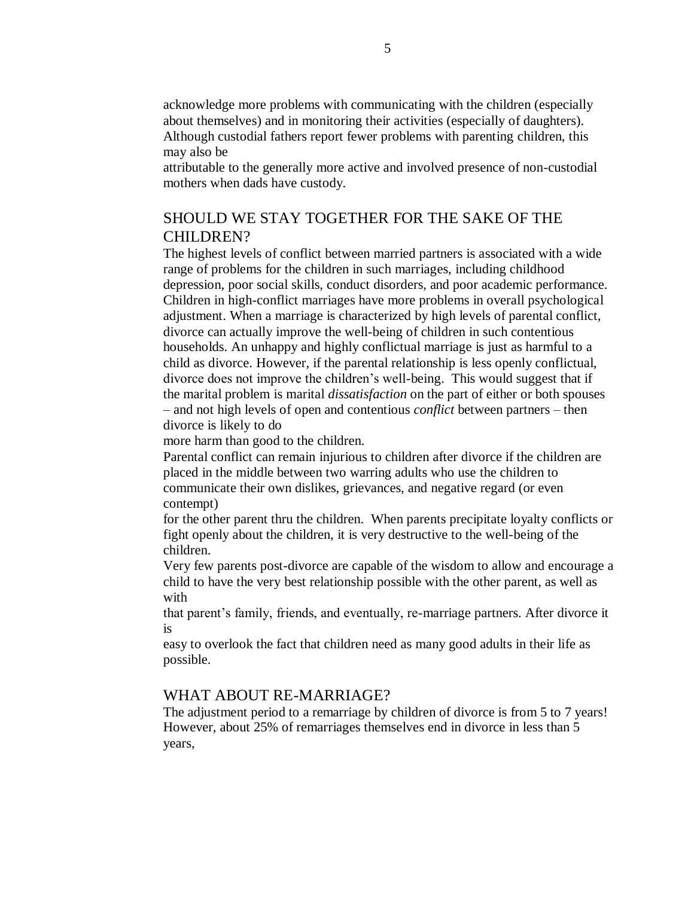acknowledge more problems with communicating with the children (especially about themselves) and in monitoring their activities (especially of daughters). Although custodial fathers report fewer problems with parenting children, this may also be

attributable to the generally more active and involved presence of non-custodial mothers when dads have custody.

# SHOULD WE STAY TOGETHER FOR THE SAKE OF THE CHILDREN?

The highest levels of conflict between married partners is associated with a wide range of problems for the children in such marriages, including childhood depression, poor social skills, conduct disorders, and poor academic performance. Children in high-conflict marriages have more problems in overall psychological adjustment. When a marriage is characterized by high levels of parental conflict, divorce can actually improve the well-being of children in such contentious households. An unhappy and highly conflictual marriage is just as harmful to a child as divorce. However, if the parental relationship is less openly conflictual, divorce does not improve the children's well-being. This would suggest that if the marital problem is marital *dissatisfaction* on the part of either or both spouses – and not high levels of open and contentious *conflict* between partners – then divorce is likely to do

more harm than good to the children.

Parental conflict can remain injurious to children after divorce if the children are placed in the middle between two warring adults who use the children to communicate their own dislikes, grievances, and negative regard (or even contempt)

for the other parent thru the children. When parents precipitate loyalty conflicts or fight openly about the children, it is very destructive to the well-being of the children.

Very few parents post-divorce are capable of the wisdom to allow and encourage a child to have the very best relationship possible with the other parent, as well as with

that parent's family, friends, and eventually, re-marriage partners. After divorce it is

easy to overlook the fact that children need as many good adults in their life as possible.

## WHAT ABOUT RE-MARRIAGE?

The adjustment period to a remarriage by children of divorce is from 5 to 7 years! However, about 25% of remarriages themselves end in divorce in less than 5 years,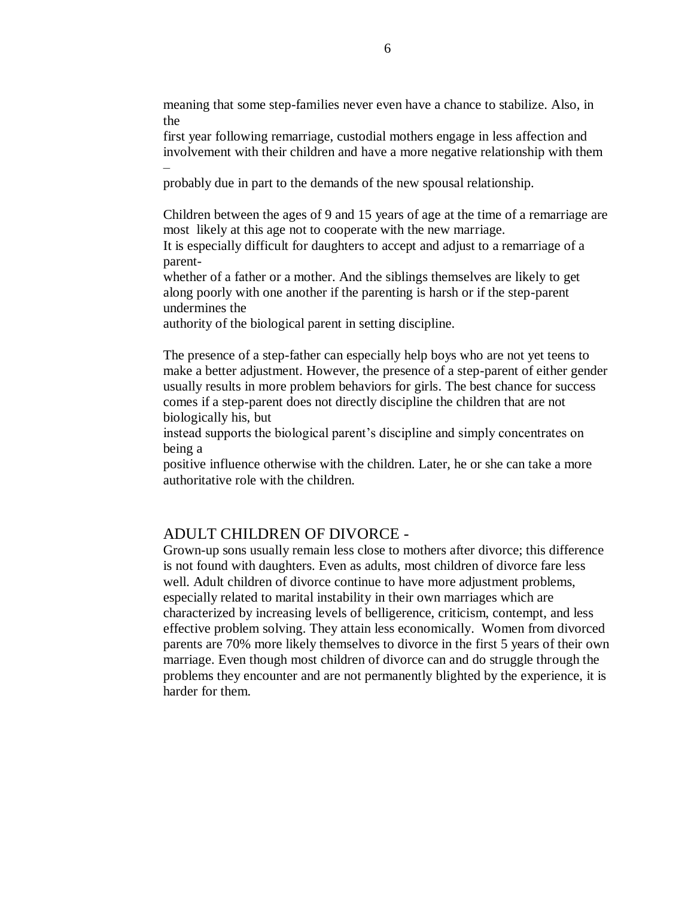meaning that some step-families never even have a chance to stabilize. Also, in the

first year following remarriage, custodial mothers engage in less affection and involvement with their children and have a more negative relationship with them –

probably due in part to the demands of the new spousal relationship.

Children between the ages of 9 and 15 years of age at the time of a remarriage are most likely at this age not to cooperate with the new marriage.

It is especially difficult for daughters to accept and adjust to a remarriage of a parent-

whether of a father or a mother. And the siblings themselves are likely to get along poorly with one another if the parenting is harsh or if the step-parent undermines the

authority of the biological parent in setting discipline.

The presence of a step-father can especially help boys who are not yet teens to make a better adjustment. However, the presence of a step-parent of either gender usually results in more problem behaviors for girls. The best chance for success comes if a step-parent does not directly discipline the children that are not biologically his, but

instead supports the biological parent's discipline and simply concentrates on being a

positive influence otherwise with the children. Later, he or she can take a more authoritative role with the children.

#### ADULT CHILDREN OF DIVORCE -

Grown-up sons usually remain less close to mothers after divorce; this difference is not found with daughters. Even as adults, most children of divorce fare less well. Adult children of divorce continue to have more adjustment problems, especially related to marital instability in their own marriages which are characterized by increasing levels of belligerence, criticism, contempt, and less effective problem solving. They attain less economically. Women from divorced parents are 70% more likely themselves to divorce in the first 5 years of their own marriage. Even though most children of divorce can and do struggle through the problems they encounter and are not permanently blighted by the experience, it is harder for them.